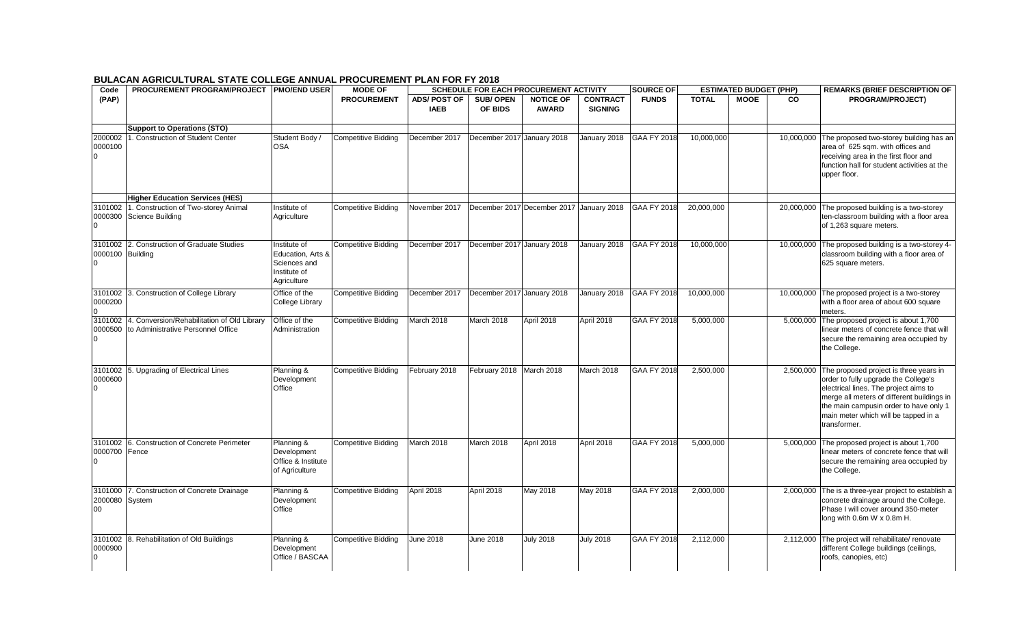## **BULACAN AGRICULTURAL STATE COLLEGE ANNUAL PROCUREMENT PLAN FOR FY 2018**

| Code             | <b>PROCUREMENT PROGRAM/PROJECT PMO/END USER</b>                  |                             | <b>MODE OF</b>             | <b>SCHEDULE FOR EACH PROCUREMENT ACTIVITY</b> |                            |                                          |                  | <b>SOURCE OF</b>   |              | <b>REMARKS (BRIEF DESCRIPTION OF</b><br><b>ESTIMATED BUDGET (PHP)</b> |            |                                                                                   |
|------------------|------------------------------------------------------------------|-----------------------------|----------------------------|-----------------------------------------------|----------------------------|------------------------------------------|------------------|--------------------|--------------|-----------------------------------------------------------------------|------------|-----------------------------------------------------------------------------------|
| (PAP)            |                                                                  |                             | <b>PROCUREMENT</b>         | <b>ADS/POST OF</b>                            | <b>SUB/OPEN</b>            | <b>NOTICE OF</b>                         | <b>CONTRACT</b>  | <b>FUNDS</b>       | <b>TOTAL</b> | <b>MOOE</b>                                                           | <b>CO</b>  | <b>PROGRAM/PROJECT)</b>                                                           |
|                  |                                                                  |                             |                            | <b>IAEB</b>                                   | OF BIDS                    | <b>AWARD</b>                             | <b>SIGNING</b>   |                    |              |                                                                       |            |                                                                                   |
|                  |                                                                  |                             |                            |                                               |                            |                                          |                  |                    |              |                                                                       |            |                                                                                   |
|                  | <b>Support to Operations (STO)</b>                               |                             |                            |                                               |                            |                                          |                  |                    |              |                                                                       |            |                                                                                   |
| 2000002          | . Construction of Student Center                                 | Student Body /              | <b>Competitive Bidding</b> | December 2017                                 | December 2017 January 2018 |                                          | January 2018     | <b>GAA FY 2018</b> | 10,000,000   |                                                                       |            | 10,000,000 The proposed two-storey building has an                                |
| 0000100          |                                                                  | OSA                         |                            |                                               |                            |                                          |                  |                    |              |                                                                       |            | area of 625 sqm. with offices and                                                 |
| $\overline{0}$   |                                                                  |                             |                            |                                               |                            |                                          |                  |                    |              |                                                                       |            | receiving area in the first floor and                                             |
|                  |                                                                  |                             |                            |                                               |                            |                                          |                  |                    |              |                                                                       |            | function hall for student activities at the<br>upper floor.                       |
|                  |                                                                  |                             |                            |                                               |                            |                                          |                  |                    |              |                                                                       |            |                                                                                   |
|                  |                                                                  |                             |                            |                                               |                            |                                          |                  |                    |              |                                                                       |            |                                                                                   |
|                  | <b>Higher Education Services (HES)</b>                           |                             |                            |                                               |                            |                                          |                  |                    |              |                                                                       |            |                                                                                   |
| 0000300          | 3101002 1. Construction of Two-storey Animal<br>Science Building | Institute of<br>Agriculture | Competitive Bidding        | November 2017                                 |                            | December 2017 December 2017 January 2018 |                  | <b>GAA FY 2018</b> | 20,000,000   |                                                                       | 20,000,000 | The proposed building is a two-storey<br>ten-classroom building with a floor area |
| I٥               |                                                                  |                             |                            |                                               |                            |                                          |                  |                    |              |                                                                       |            | of 1,263 square meters.                                                           |
|                  |                                                                  |                             |                            |                                               |                            |                                          |                  |                    |              |                                                                       |            |                                                                                   |
| 3101002          | 2. Construction of Graduate Studies                              | Institute of                | <b>Competitive Bidding</b> | December 2017                                 | December 2017 January 2018 |                                          | January 2018     | GAA FY 2018        | 10,000,000   |                                                                       | 10,000,000 | The proposed building is a two-storey 4-                                          |
| 0000100 Building |                                                                  | Education. Arts &           |                            |                                               |                            |                                          |                  |                    |              |                                                                       |            | classroom building with a floor area of                                           |
| I٥               |                                                                  | Sciences and                |                            |                                               |                            |                                          |                  |                    |              |                                                                       |            | 625 square meters.                                                                |
|                  |                                                                  | Institute of                |                            |                                               |                            |                                          |                  |                    |              |                                                                       |            |                                                                                   |
|                  |                                                                  | Agriculture                 |                            |                                               |                            |                                          |                  |                    |              |                                                                       |            |                                                                                   |
| 3101002          | 3. Construction of College Library                               | Office of the               | <b>Competitive Bidding</b> | December 2017                                 | December 2017 January 2018 |                                          | January 2018     | <b>GAA FY 2018</b> | 10,000,000   |                                                                       | 10,000,000 | The proposed project is a two-storey                                              |
| 0000200          |                                                                  | <b>College Library</b>      |                            |                                               |                            |                                          |                  |                    |              |                                                                       |            | with a floor area of about 600 square                                             |
| $\Omega$         |                                                                  |                             |                            |                                               |                            |                                          |                  |                    |              |                                                                       |            | meters.                                                                           |
| 3101002          | 4. Conversion/Rehabilitation of Old Library                      | Office of the               | Competitive Bidding        | March 2018                                    | March 2018                 | April 2018                               | April 2018       | GAA FY 2018        | 5,000,000    |                                                                       | 5,000,000  | The proposed project is about 1,700                                               |
| 0000500<br>I٥    | to Administrative Personnel Office                               | Administration              |                            |                                               |                            |                                          |                  |                    |              |                                                                       |            | linear meters of concrete fence that will                                         |
|                  |                                                                  |                             |                            |                                               |                            |                                          |                  |                    |              |                                                                       |            | secure the remaining area occupied by<br>the College.                             |
|                  |                                                                  |                             |                            |                                               |                            |                                          |                  |                    |              |                                                                       |            |                                                                                   |
| 3101002          | 5. Upgrading of Electrical Lines                                 | Planning &                  | <b>Competitive Bidding</b> | February 2018                                 | February 2018 March 2018   |                                          | March 2018       | GAA FY 2018        | 2,500,000    |                                                                       | 2,500,000  | The proposed project is three years in                                            |
| 0000600          |                                                                  | Development                 |                            |                                               |                            |                                          |                  |                    |              |                                                                       |            | order to fully upgrade the College's                                              |
| I٥               |                                                                  | Office                      |                            |                                               |                            |                                          |                  |                    |              |                                                                       |            | electrical lines. The project aims to                                             |
|                  |                                                                  |                             |                            |                                               |                            |                                          |                  |                    |              |                                                                       |            | merge all meters of different buildings in                                        |
|                  |                                                                  |                             |                            |                                               |                            |                                          |                  |                    |              |                                                                       |            | the main campusin order to have only 1                                            |
|                  |                                                                  |                             |                            |                                               |                            |                                          |                  |                    |              |                                                                       |            | main meter which will be tapped in a                                              |
|                  |                                                                  |                             |                            |                                               |                            |                                          |                  |                    |              |                                                                       |            | transformer.                                                                      |
|                  | 3101002 6. Construction of Concrete Perimeter                    | Planning &                  | Competitive Bidding        | March 2018                                    | March 2018                 | April 2018                               | April 2018       | <b>GAA FY 2018</b> | 5,000,000    |                                                                       |            | 5,000,000 The proposed project is about 1,700                                     |
| 0000700 Fence    |                                                                  | Development                 |                            |                                               |                            |                                          |                  |                    |              |                                                                       |            | linear meters of concrete fence that will                                         |
| I٥               |                                                                  | Office & Institute          |                            |                                               |                            |                                          |                  |                    |              |                                                                       |            | secure the remaining area occupied by                                             |
|                  |                                                                  | of Agriculture              |                            |                                               |                            |                                          |                  |                    |              |                                                                       |            | the College.                                                                      |
|                  |                                                                  |                             |                            |                                               |                            |                                          |                  |                    |              |                                                                       |            |                                                                                   |
|                  | 3101000 7. Construction of Concrete Drainage                     | Planning &                  | Competitive Bidding        | April 2018                                    | April 2018                 | May 2018                                 | May 2018         | GAA FY 2018        | 2,000,000    |                                                                       |            | 2,000,000 The is a three-year project to establish a                              |
| 2000080          | System                                                           | Development                 |                            |                                               |                            |                                          |                  |                    |              |                                                                       |            | concrete drainage around the College.                                             |
| 00               |                                                                  | Office                      |                            |                                               |                            |                                          |                  |                    |              |                                                                       |            | Phase I will cover around 350-meter                                               |
|                  |                                                                  |                             |                            |                                               |                            |                                          |                  |                    |              |                                                                       |            | long with 0.6m W x 0.8m H.                                                        |
| 3101002          | 8. Rehabilitation of Old Buildings                               | Planning &                  | <b>Competitive Bidding</b> | June 2018                                     | <b>June 2018</b>           | <b>July 2018</b>                         | <b>July 2018</b> | <b>GAA FY 2018</b> | 2,112,000    |                                                                       | 2,112,000  | The project will rehabilitate/ renovate                                           |
| 0000900          |                                                                  | Development                 |                            |                                               |                            |                                          |                  |                    |              |                                                                       |            | different College buildings (ceilings,                                            |
| $\overline{0}$   |                                                                  | Office / BASCAA             |                            |                                               |                            |                                          |                  |                    |              |                                                                       |            | roofs, canopies, etc)                                                             |
|                  |                                                                  |                             |                            |                                               |                            |                                          |                  |                    |              |                                                                       |            |                                                                                   |